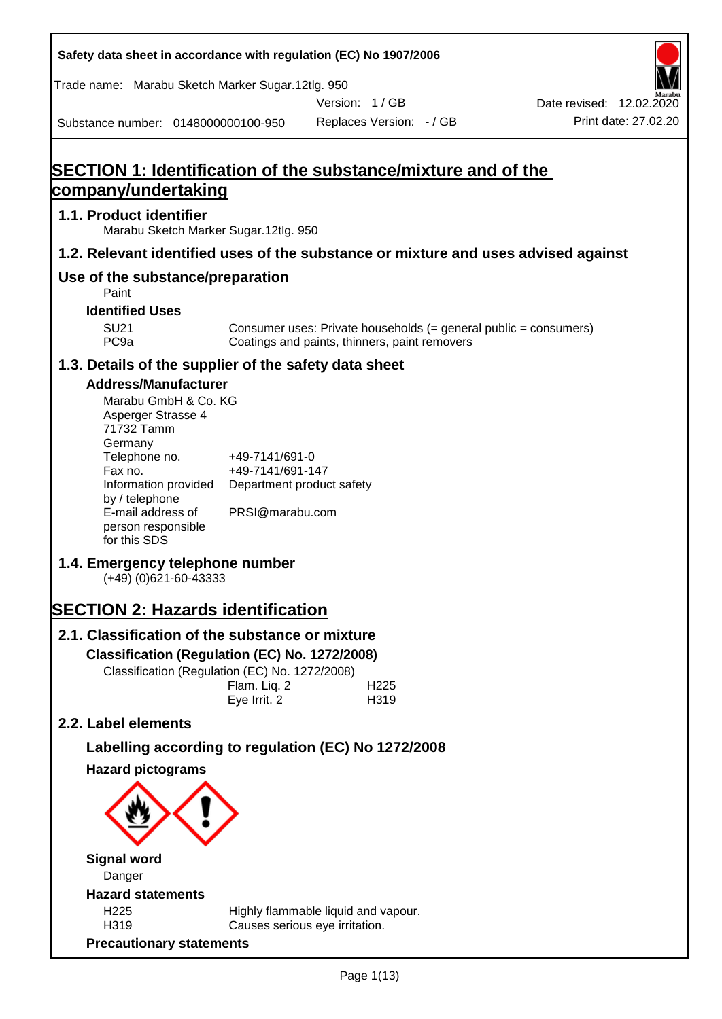| Safety data sheet in accordance with regulation (EC) No 1907/2006                                                       |                                                                 |                                                                                                                   |                                                  |
|-------------------------------------------------------------------------------------------------------------------------|-----------------------------------------------------------------|-------------------------------------------------------------------------------------------------------------------|--------------------------------------------------|
| Trade name: Marabu Sketch Marker Sugar.12tlg. 950                                                                       |                                                                 |                                                                                                                   |                                                  |
|                                                                                                                         |                                                                 | Version: 1/GB                                                                                                     | Date revised: 12.02.2020<br>Print date: 27.02.20 |
| Substance number: 0148000000100-950                                                                                     |                                                                 | Replaces Version: - / GB                                                                                          |                                                  |
|                                                                                                                         |                                                                 |                                                                                                                   |                                                  |
| <b>SECTION 1: Identification of the substance/mixture and of the</b><br>company/undertaking                             |                                                                 |                                                                                                                   |                                                  |
| 1.1. Product identifier                                                                                                 |                                                                 |                                                                                                                   |                                                  |
| Marabu Sketch Marker Sugar.12tlg. 950                                                                                   |                                                                 |                                                                                                                   |                                                  |
| 1.2. Relevant identified uses of the substance or mixture and uses advised against                                      |                                                                 |                                                                                                                   |                                                  |
| Use of the substance/preparation<br>Paint                                                                               |                                                                 |                                                                                                                   |                                                  |
| <b>Identified Uses</b>                                                                                                  |                                                                 |                                                                                                                   |                                                  |
| <b>SU21</b><br>PC <sub>9a</sub>                                                                                         |                                                                 | Consumer uses: Private households (= general public = consumers)<br>Coatings and paints, thinners, paint removers |                                                  |
| 1.3. Details of the supplier of the safety data sheet                                                                   |                                                                 |                                                                                                                   |                                                  |
| <b>Address/Manufacturer</b>                                                                                             |                                                                 |                                                                                                                   |                                                  |
| Marabu GmbH & Co. KG<br>Asperger Strasse 4<br>71732 Tamm<br>Germany<br>Telephone no.<br>Fax no.<br>Information provided | +49-7141/691-0<br>+49-7141/691-147<br>Department product safety |                                                                                                                   |                                                  |
| by / telephone<br>E-mail address of<br>person responsible<br>for this SDS                                               | PRSI@marabu.com                                                 |                                                                                                                   |                                                  |
| 1.4. Emergency telephone number<br>$(+49)$ (0)621-60-43333                                                              |                                                                 |                                                                                                                   |                                                  |
| <b>SECTION 2: Hazards identification</b>                                                                                |                                                                 |                                                                                                                   |                                                  |
| 2.1. Classification of the substance or mixture                                                                         |                                                                 |                                                                                                                   |                                                  |
| Classification (Regulation (EC) No. 1272/2008)                                                                          |                                                                 |                                                                                                                   |                                                  |
| Classification (Regulation (EC) No. 1272/2008)                                                                          | Flam. Liq. 2<br>Eye Irrit. 2                                    | H <sub>225</sub><br>H319                                                                                          |                                                  |
| 2.2. Label elements                                                                                                     |                                                                 |                                                                                                                   |                                                  |
| Labelling according to regulation (EC) No 1272/2008                                                                     |                                                                 |                                                                                                                   |                                                  |
| <b>Hazard pictograms</b>                                                                                                |                                                                 |                                                                                                                   |                                                  |
|                                                                                                                         |                                                                 |                                                                                                                   |                                                  |
| <b>Signal word</b>                                                                                                      |                                                                 |                                                                                                                   |                                                  |
| Danger                                                                                                                  |                                                                 |                                                                                                                   |                                                  |
| <b>Hazard statements</b><br>H <sub>225</sub>                                                                            |                                                                 | Highly flammable liquid and vapour.                                                                               |                                                  |
| H319<br><b>Precautionary statements</b>                                                                                 |                                                                 | Causes serious eye irritation.                                                                                    |                                                  |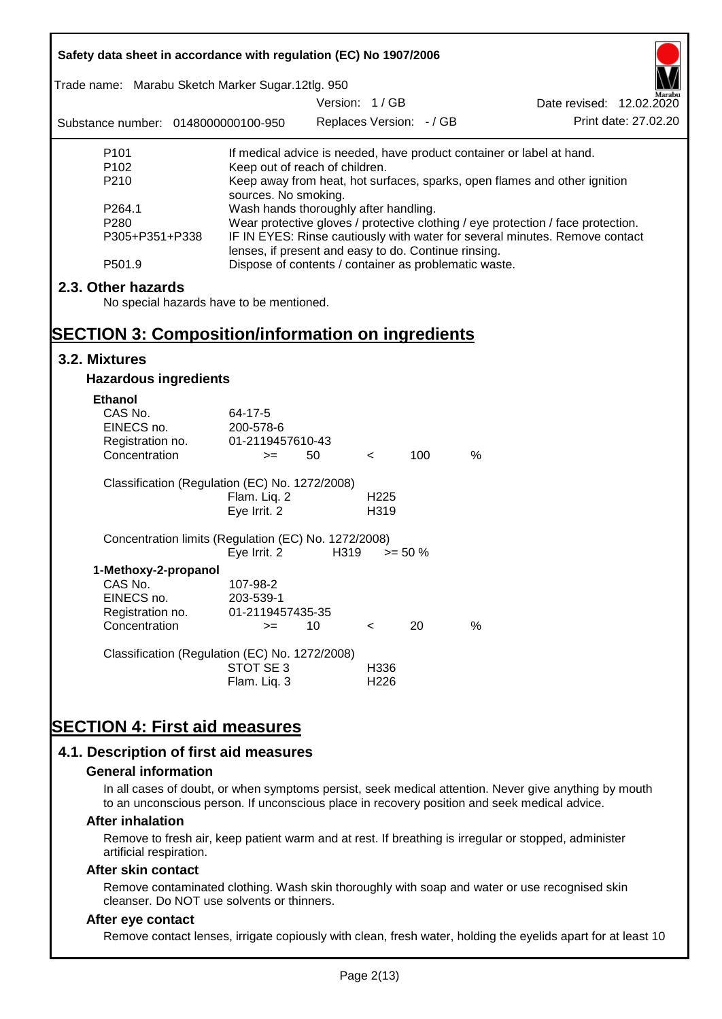| Safety data sheet in accordance with regulation (EC) No 1907/2006                                                          |                                                                                                                                                                                                                                  |                          |                          |            |                                                                           |  |
|----------------------------------------------------------------------------------------------------------------------------|----------------------------------------------------------------------------------------------------------------------------------------------------------------------------------------------------------------------------------|--------------------------|--------------------------|------------|---------------------------------------------------------------------------|--|
| Trade name: Marabu Sketch Marker Sugar.12tlg. 950                                                                          |                                                                                                                                                                                                                                  | Version: 1/GB            |                          |            | Date revised: 12.02.2020                                                  |  |
| Substance number: 0148000000100-950                                                                                        |                                                                                                                                                                                                                                  | Replaces Version: - / GB |                          |            | Print date: 27,02.20                                                      |  |
| P <sub>101</sub>                                                                                                           |                                                                                                                                                                                                                                  |                          |                          |            | If medical advice is needed, have product container or label at hand.     |  |
| P <sub>102</sub><br>P210                                                                                                   | Keep out of reach of children.                                                                                                                                                                                                   |                          |                          |            | Keep away from heat, hot surfaces, sparks, open flames and other ignition |  |
| P264.1<br>P280<br>P305+P351+P338                                                                                           | sources. No smoking.<br>Wash hands thoroughly after handling.<br>Wear protective gloves / protective clothing / eye protection / face protection.<br>IF IN EYES: Rinse cautiously with water for several minutes. Remove contact |                          |                          |            |                                                                           |  |
| P501.9                                                                                                                     | lenses, if present and easy to do. Continue rinsing.<br>Dispose of contents / container as problematic waste.                                                                                                                    |                          |                          |            |                                                                           |  |
| 2.3. Other hazards<br>No special hazards have to be mentioned.<br><b>SECTION 3: Composition/information on ingredients</b> |                                                                                                                                                                                                                                  |                          |                          |            |                                                                           |  |
| 3.2. Mixtures                                                                                                              |                                                                                                                                                                                                                                  |                          |                          |            |                                                                           |  |
| <b>Hazardous ingredients</b>                                                                                               |                                                                                                                                                                                                                                  |                          |                          |            |                                                                           |  |
| <b>Ethanol</b><br>CAS No.<br>EINECS no.<br>Registration no.<br>Concentration                                               | 64-17-5<br>200-578-6<br>01-2119457610-43<br>$>=$                                                                                                                                                                                 | 50                       | $\,<\,$                  | 100        | $\%$                                                                      |  |
| Classification (Regulation (EC) No. 1272/2008)                                                                             |                                                                                                                                                                                                                                  |                          |                          |            |                                                                           |  |
|                                                                                                                            | Flam. Liq. 2<br>Eye Irrit. 2                                                                                                                                                                                                     |                          | H <sub>225</sub><br>H319 |            |                                                                           |  |
| Concentration limits (Regulation (EC) No. 1272/2008)                                                                       | Eye Irrit. 2                                                                                                                                                                                                                     | H319                     |                          | $>= 50 \%$ |                                                                           |  |
| 1-Methoxy-2-propanol<br>CAS No.<br>EINECS no.<br>Registration no.                                                          | 107-98-2<br>203-539-1<br>01-2119457435-35                                                                                                                                                                                        |                          |                          |            |                                                                           |  |
| Concentration                                                                                                              | $>=$                                                                                                                                                                                                                             | 10                       | $\,<\,$                  | 20         | %                                                                         |  |
| Classification (Regulation (EC) No. 1272/2008)                                                                             | STOT SE3<br>Flam. Liq. 3                                                                                                                                                                                                         |                          | H336<br>H <sub>226</sub> |            |                                                                           |  |
| <b>SECTION 4: First aid measures</b>                                                                                       |                                                                                                                                                                                                                                  |                          |                          |            |                                                                           |  |
| 4.1. Description of first aid measures                                                                                     |                                                                                                                                                                                                                                  |                          |                          |            |                                                                           |  |

#### **General information**

In all cases of doubt, or when symptoms persist, seek medical attention. Never give anything by mouth to an unconscious person. If unconscious place in recovery position and seek medical advice.

#### **After inhalation**

Remove to fresh air, keep patient warm and at rest. If breathing is irregular or stopped, administer artificial respiration.

#### **After skin contact**

Remove contaminated clothing. Wash skin thoroughly with soap and water or use recognised skin cleanser. Do NOT use solvents or thinners.

### **After eye contact**

Remove contact lenses, irrigate copiously with clean, fresh water, holding the eyelids apart for at least 10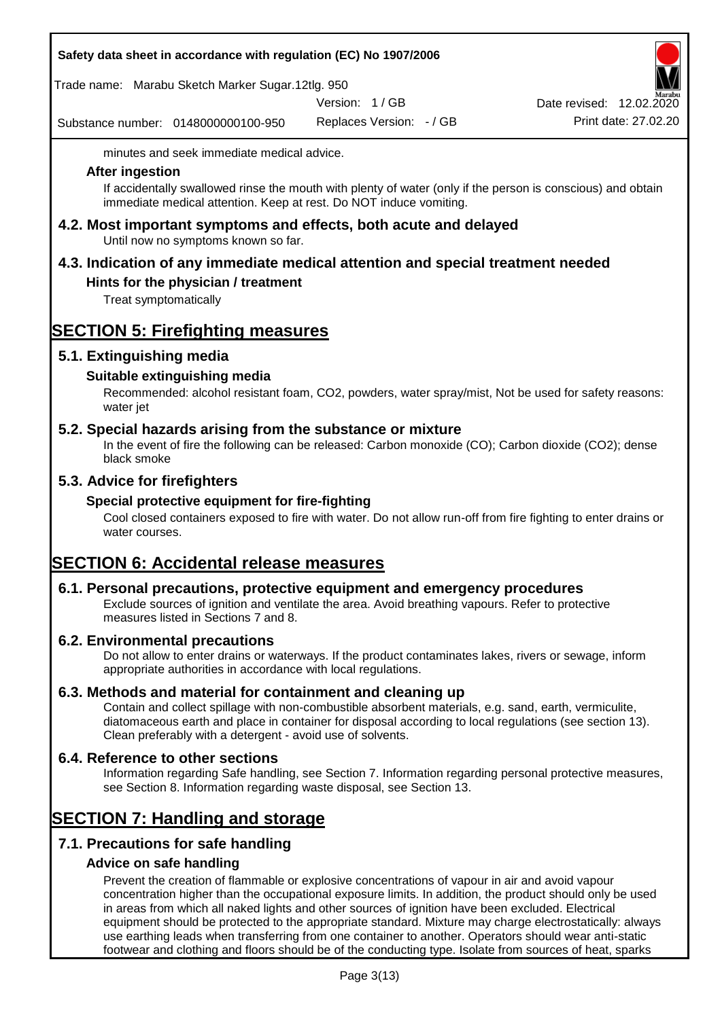|  |  |  | Safety data sheet in accordance with regulation (EC) No 1907/2006 |
|--|--|--|-------------------------------------------------------------------|
|--|--|--|-------------------------------------------------------------------|

Trade name: Marabu Sketch Marker Sugar.12tlg. 950

Version: 1 / GB

Substance number: 0148000000100-950

Replaces Version: - / GB Print date: 27.02.20 Date revised: 12.02.2020

minutes and seek immediate medical advice.

#### **After ingestion**

If accidentally swallowed rinse the mouth with plenty of water (only if the person is conscious) and obtain immediate medical attention. Keep at rest. Do NOT induce vomiting.

**4.2. Most important symptoms and effects, both acute and delayed** Until now no symptoms known so far.

# **4.3. Indication of any immediate medical attention and special treatment needed**

## **Hints for the physician / treatment**

Treat symptomatically

# **SECTION 5: Firefighting measures**

## **5.1. Extinguishing media**

## **Suitable extinguishing media**

Recommended: alcohol resistant foam, CO2, powders, water spray/mist, Not be used for safety reasons: water jet

### **5.2. Special hazards arising from the substance or mixture**

In the event of fire the following can be released: Carbon monoxide (CO); Carbon dioxide (CO2); dense black smoke

## **5.3. Advice for firefighters**

### **Special protective equipment for fire-fighting**

Cool closed containers exposed to fire with water. Do not allow run-off from fire fighting to enter drains or water courses.

# **SECTION 6: Accidental release measures**

### **6.1. Personal precautions, protective equipment and emergency procedures**

Exclude sources of ignition and ventilate the area. Avoid breathing vapours. Refer to protective measures listed in Sections 7 and 8.

### **6.2. Environmental precautions**

Do not allow to enter drains or waterways. If the product contaminates lakes, rivers or sewage, inform appropriate authorities in accordance with local regulations.

### **6.3. Methods and material for containment and cleaning up**

Contain and collect spillage with non-combustible absorbent materials, e.g. sand, earth, vermiculite, diatomaceous earth and place in container for disposal according to local regulations (see section 13). Clean preferably with a detergent - avoid use of solvents.

### **6.4. Reference to other sections**

Information regarding Safe handling, see Section 7. Information regarding personal protective measures, see Section 8. Information regarding waste disposal, see Section 13.

## **SECTION 7: Handling and storage**

## **7.1. Precautions for safe handling**

### **Advice on safe handling**

Prevent the creation of flammable or explosive concentrations of vapour in air and avoid vapour concentration higher than the occupational exposure limits. In addition, the product should only be used in areas from which all naked lights and other sources of ignition have been excluded. Electrical equipment should be protected to the appropriate standard. Mixture may charge electrostatically: always use earthing leads when transferring from one container to another. Operators should wear anti-static footwear and clothing and floors should be of the conducting type. Isolate from sources of heat, sparks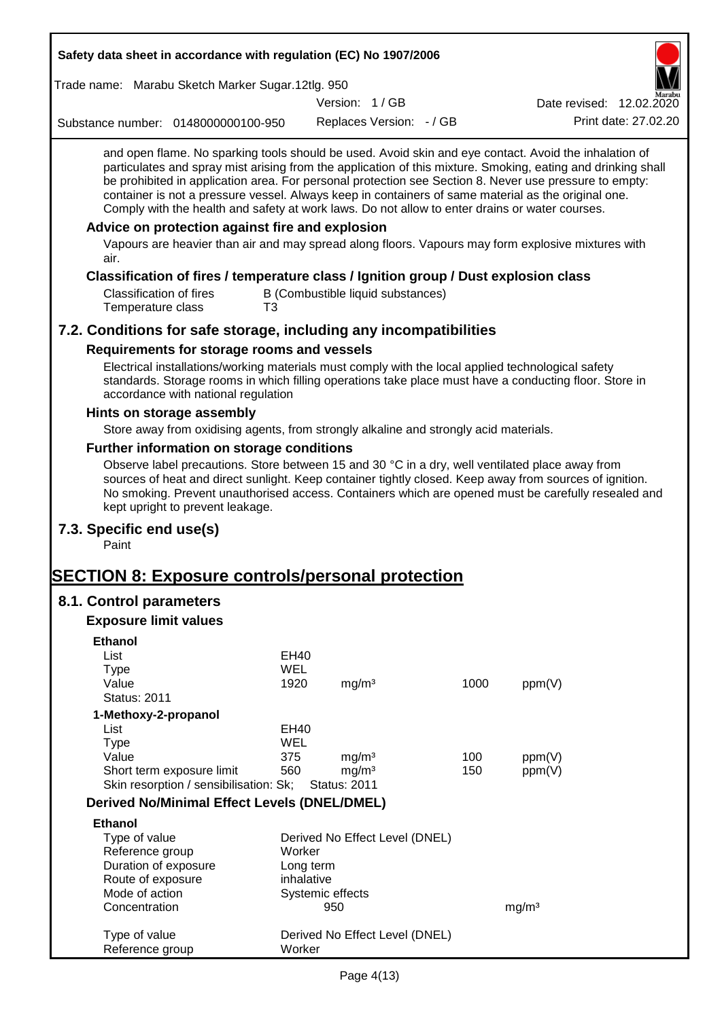| Safety data sheet in accordance with regulation (EC) No 1907/2006                                                                                                                                                                                                                                                                                                                                                                                                                                                                                                                                                                                                                                         |                         |                     |                                   |      |                          |                      |
|-----------------------------------------------------------------------------------------------------------------------------------------------------------------------------------------------------------------------------------------------------------------------------------------------------------------------------------------------------------------------------------------------------------------------------------------------------------------------------------------------------------------------------------------------------------------------------------------------------------------------------------------------------------------------------------------------------------|-------------------------|---------------------|-----------------------------------|------|--------------------------|----------------------|
| Trade name: Marabu Sketch Marker Sugar.12tlg. 950                                                                                                                                                                                                                                                                                                                                                                                                                                                                                                                                                                                                                                                         |                         |                     |                                   |      |                          |                      |
|                                                                                                                                                                                                                                                                                                                                                                                                                                                                                                                                                                                                                                                                                                           |                         | Version: 1/GB       |                                   |      | Date revised: 12.02.2020 |                      |
| Substance number: 0148000000100-950                                                                                                                                                                                                                                                                                                                                                                                                                                                                                                                                                                                                                                                                       |                         |                     | Replaces Version: - / GB          |      |                          | Print date: 27.02.20 |
| and open flame. No sparking tools should be used. Avoid skin and eye contact. Avoid the inhalation of<br>particulates and spray mist arising from the application of this mixture. Smoking, eating and drinking shall<br>be prohibited in application area. For personal protection see Section 8. Never use pressure to empty:<br>container is not a pressure vessel. Always keep in containers of same material as the original one.<br>Comply with the health and safety at work laws. Do not allow to enter drains or water courses.<br>Advice on protection against fire and explosion<br>Vapours are heavier than air and may spread along floors. Vapours may form explosive mixtures with<br>air. |                         |                     |                                   |      |                          |                      |
| Classification of fires / temperature class / Ignition group / Dust explosion class<br><b>Classification of fires</b><br>Temperature class<br>T3                                                                                                                                                                                                                                                                                                                                                                                                                                                                                                                                                          |                         |                     | B (Combustible liquid substances) |      |                          |                      |
| 7.2. Conditions for safe storage, including any incompatibilities                                                                                                                                                                                                                                                                                                                                                                                                                                                                                                                                                                                                                                         |                         |                     |                                   |      |                          |                      |
| Requirements for storage rooms and vessels                                                                                                                                                                                                                                                                                                                                                                                                                                                                                                                                                                                                                                                                |                         |                     |                                   |      |                          |                      |
| Electrical installations/working materials must comply with the local applied technological safety<br>standards. Storage rooms in which filling operations take place must have a conducting floor. Store in<br>accordance with national regulation                                                                                                                                                                                                                                                                                                                                                                                                                                                       |                         |                     |                                   |      |                          |                      |
| Hints on storage assembly                                                                                                                                                                                                                                                                                                                                                                                                                                                                                                                                                                                                                                                                                 |                         |                     |                                   |      |                          |                      |
| Store away from oxidising agents, from strongly alkaline and strongly acid materials.                                                                                                                                                                                                                                                                                                                                                                                                                                                                                                                                                                                                                     |                         |                     |                                   |      |                          |                      |
| Further information on storage conditions                                                                                                                                                                                                                                                                                                                                                                                                                                                                                                                                                                                                                                                                 |                         |                     |                                   |      |                          |                      |
| Observe label precautions. Store between 15 and 30 °C in a dry, well ventilated place away from<br>sources of heat and direct sunlight. Keep container tightly closed. Keep away from sources of ignition.<br>No smoking. Prevent unauthorised access. Containers which are opened must be carefully resealed and<br>kept upright to prevent leakage.                                                                                                                                                                                                                                                                                                                                                     |                         |                     |                                   |      |                          |                      |
| 7.3. Specific end use(s)<br>Paint                                                                                                                                                                                                                                                                                                                                                                                                                                                                                                                                                                                                                                                                         |                         |                     |                                   |      |                          |                      |
| <b>SECTION 8: Exposure controls/personal protection</b>                                                                                                                                                                                                                                                                                                                                                                                                                                                                                                                                                                                                                                                   |                         |                     |                                   |      |                          |                      |
| 8.1. Control parameters                                                                                                                                                                                                                                                                                                                                                                                                                                                                                                                                                                                                                                                                                   |                         |                     |                                   |      |                          |                      |
| <b>Exposure limit values</b>                                                                                                                                                                                                                                                                                                                                                                                                                                                                                                                                                                                                                                                                              |                         |                     |                                   |      |                          |                      |
| <b>Ethanol</b>                                                                                                                                                                                                                                                                                                                                                                                                                                                                                                                                                                                                                                                                                            |                         |                     |                                   |      |                          |                      |
| List                                                                                                                                                                                                                                                                                                                                                                                                                                                                                                                                                                                                                                                                                                      | EH40                    |                     |                                   |      |                          |                      |
| <b>Type</b>                                                                                                                                                                                                                                                                                                                                                                                                                                                                                                                                                                                                                                                                                               | <b>WEL</b>              |                     |                                   |      |                          |                      |
| Value                                                                                                                                                                                                                                                                                                                                                                                                                                                                                                                                                                                                                                                                                                     | 1920                    | mg/m <sup>3</sup>   |                                   | 1000 | ppm(V)                   |                      |
| <b>Status: 2011</b>                                                                                                                                                                                                                                                                                                                                                                                                                                                                                                                                                                                                                                                                                       |                         |                     |                                   |      |                          |                      |
| 1-Methoxy-2-propanol<br>List                                                                                                                                                                                                                                                                                                                                                                                                                                                                                                                                                                                                                                                                              | EH40                    |                     |                                   |      |                          |                      |
| <b>Type</b>                                                                                                                                                                                                                                                                                                                                                                                                                                                                                                                                                                                                                                                                                               | <b>WEL</b>              |                     |                                   |      |                          |                      |
| Value                                                                                                                                                                                                                                                                                                                                                                                                                                                                                                                                                                                                                                                                                                     | 375                     | mg/m <sup>3</sup>   |                                   | 100  | ppm(V)                   |                      |
| Short term exposure limit                                                                                                                                                                                                                                                                                                                                                                                                                                                                                                                                                                                                                                                                                 | 560                     | mg/m <sup>3</sup>   |                                   | 150  | ppm(V)                   |                      |
| Skin resorption / sensibilisation: Sk;                                                                                                                                                                                                                                                                                                                                                                                                                                                                                                                                                                                                                                                                    |                         | <b>Status: 2011</b> |                                   |      |                          |                      |
| <b>Derived No/Minimal Effect Levels (DNEL/DMEL)</b>                                                                                                                                                                                                                                                                                                                                                                                                                                                                                                                                                                                                                                                       |                         |                     |                                   |      |                          |                      |
| <b>Ethanol</b>                                                                                                                                                                                                                                                                                                                                                                                                                                                                                                                                                                                                                                                                                            |                         |                     |                                   |      |                          |                      |
| Type of value                                                                                                                                                                                                                                                                                                                                                                                                                                                                                                                                                                                                                                                                                             |                         |                     | Derived No Effect Level (DNEL)    |      |                          |                      |
| Reference group                                                                                                                                                                                                                                                                                                                                                                                                                                                                                                                                                                                                                                                                                           | Worker                  |                     |                                   |      |                          |                      |
| Duration of exposure<br>Route of exposure                                                                                                                                                                                                                                                                                                                                                                                                                                                                                                                                                                                                                                                                 | Long term<br>inhalative |                     |                                   |      |                          |                      |
| Mode of action                                                                                                                                                                                                                                                                                                                                                                                                                                                                                                                                                                                                                                                                                            |                         | Systemic effects    |                                   |      |                          |                      |
| Concentration                                                                                                                                                                                                                                                                                                                                                                                                                                                                                                                                                                                                                                                                                             |                         | 950                 |                                   |      | mg/m <sup>3</sup>        |                      |
| Type of value<br>Reference group                                                                                                                                                                                                                                                                                                                                                                                                                                                                                                                                                                                                                                                                          | Worker                  |                     | Derived No Effect Level (DNEL)    |      |                          |                      |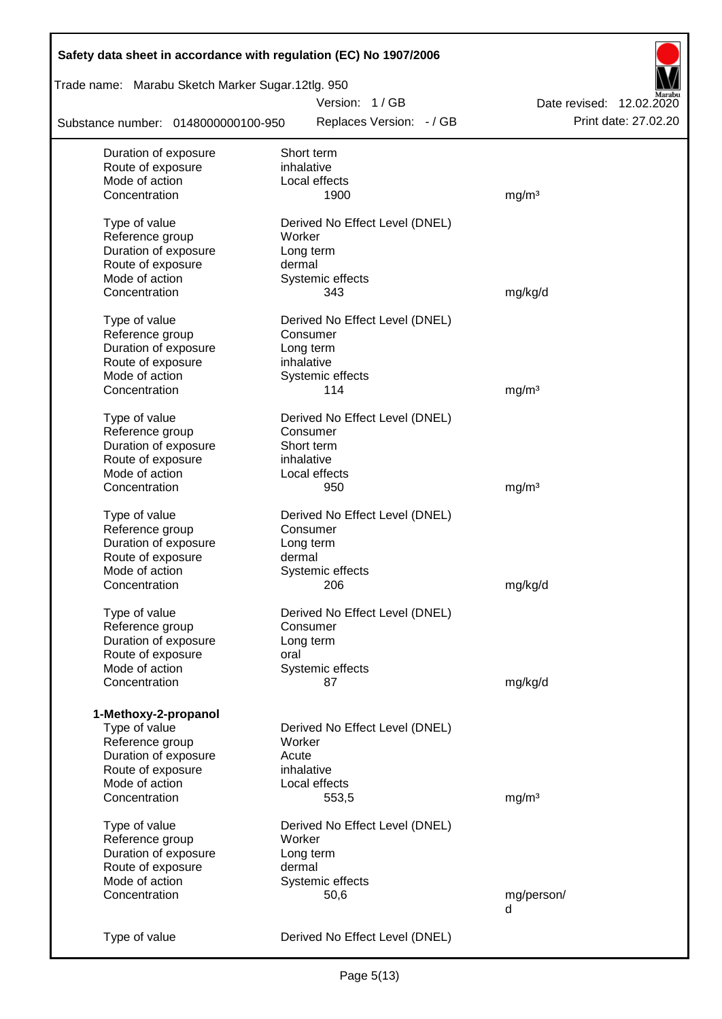| Safety data sheet in accordance with regulation (EC) No 1907/2006 |                                          |                          |
|-------------------------------------------------------------------|------------------------------------------|--------------------------|
| Trade name: Marabu Sketch Marker Sugar.12tlg. 950                 |                                          |                          |
|                                                                   | Version: 1/GB                            | Date revised: 12.02.2020 |
| Substance number: 0148000000100-950                               | Replaces Version: - / GB                 | Print date: 27.02.20     |
| Duration of exposure                                              | Short term                               |                          |
| Route of exposure                                                 | inhalative                               |                          |
| Mode of action                                                    | Local effects                            |                          |
| Concentration                                                     | 1900                                     | mg/m <sup>3</sup>        |
| Type of value<br>Reference group                                  | Derived No Effect Level (DNEL)<br>Worker |                          |
| Duration of exposure                                              | Long term                                |                          |
| Route of exposure                                                 | dermal                                   |                          |
| Mode of action                                                    | Systemic effects                         |                          |
| Concentration                                                     | 343                                      | mg/kg/d                  |
|                                                                   |                                          |                          |
| Type of value                                                     | Derived No Effect Level (DNEL)           |                          |
| Reference group                                                   | Consumer                                 |                          |
| Duration of exposure                                              | Long term<br>inhalative                  |                          |
| Route of exposure<br>Mode of action                               |                                          |                          |
| Concentration                                                     | Systemic effects<br>114                  | mg/m <sup>3</sup>        |
|                                                                   |                                          |                          |
| Type of value                                                     | Derived No Effect Level (DNEL)           |                          |
| Reference group                                                   | Consumer                                 |                          |
| Duration of exposure                                              | Short term                               |                          |
| Route of exposure                                                 | inhalative                               |                          |
| Mode of action                                                    | Local effects                            |                          |
| Concentration                                                     | 950                                      | mg/m <sup>3</sup>        |
| Type of value                                                     | Derived No Effect Level (DNEL)           |                          |
| Reference group                                                   | Consumer                                 |                          |
| Duration of exposure                                              | Long term                                |                          |
| Route of exposure                                                 | dermal                                   |                          |
| Mode of action                                                    | Systemic effects                         |                          |
| Concentration                                                     | 206                                      | mg/kg/d                  |
| Type of value                                                     | Derived No Effect Level (DNEL)           |                          |
| Reference group                                                   | Consumer                                 |                          |
| Duration of exposure                                              | Long term                                |                          |
| Route of exposure                                                 | oral                                     |                          |
| Mode of action                                                    | Systemic effects                         |                          |
| Concentration                                                     | 87                                       | mg/kg/d                  |
|                                                                   |                                          |                          |
| 1-Methoxy-2-propanol<br>Type of value                             | Derived No Effect Level (DNEL)           |                          |
| Reference group                                                   | Worker                                   |                          |
| Duration of exposure                                              | Acute                                    |                          |
| Route of exposure                                                 | inhalative                               |                          |
| Mode of action                                                    | Local effects                            |                          |
| Concentration                                                     | 553,5                                    | mg/m <sup>3</sup>        |
|                                                                   |                                          |                          |
| Type of value                                                     | Derived No Effect Level (DNEL)           |                          |
| Reference group                                                   | Worker                                   |                          |
| Duration of exposure                                              | Long term                                |                          |
| Route of exposure                                                 | dermal                                   |                          |
| Mode of action                                                    | Systemic effects                         |                          |
| Concentration                                                     | 50,6                                     | mg/person/<br>d          |
|                                                                   |                                          |                          |
| Type of value                                                     | Derived No Effect Level (DNEL)           |                          |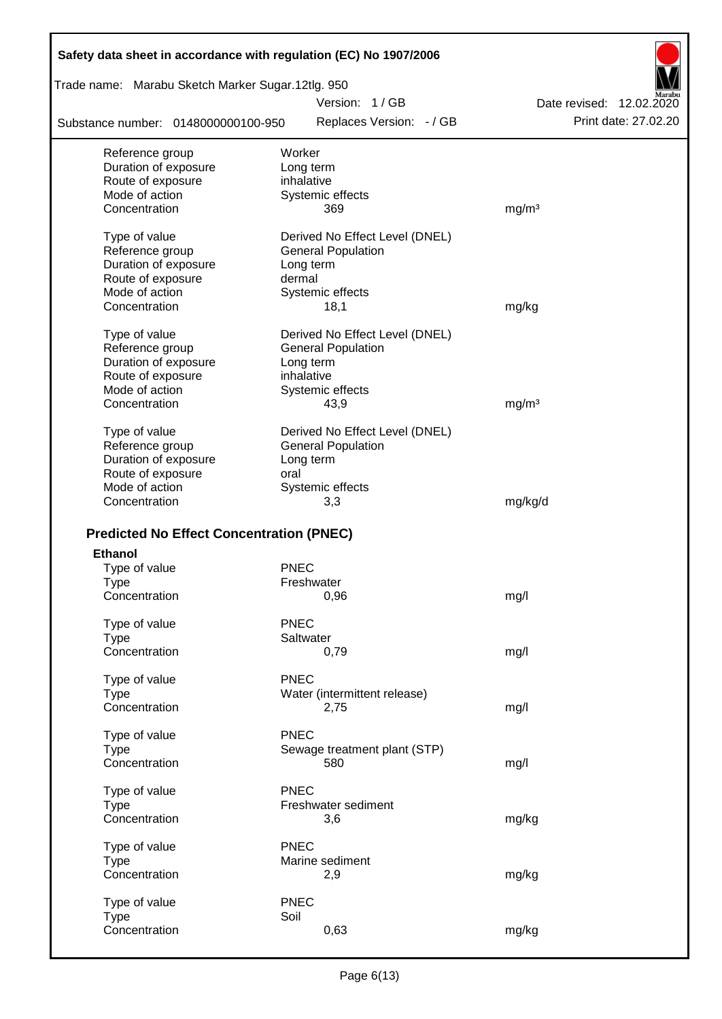| Safety data sheet in accordance with regulation (EC) No 1907/2006 |                                     |                          |
|-------------------------------------------------------------------|-------------------------------------|--------------------------|
| Trade name: Marabu Sketch Marker Sugar.12tlg. 950                 |                                     |                          |
|                                                                   | Version: 1/GB                       | Date revised: 12.02.2020 |
| Substance number: 0148000000100-950                               | Replaces Version: - / GB            | Print date: 27,02.20     |
| Reference group                                                   | Worker                              |                          |
| Duration of exposure                                              | Long term                           |                          |
| Route of exposure                                                 | inhalative                          |                          |
| Mode of action                                                    | Systemic effects                    |                          |
| Concentration                                                     | 369                                 | mg/m <sup>3</sup>        |
| Type of value                                                     | Derived No Effect Level (DNEL)      |                          |
| Reference group                                                   | <b>General Population</b>           |                          |
| Duration of exposure                                              | Long term                           |                          |
| Route of exposure                                                 | dermal                              |                          |
| Mode of action                                                    | Systemic effects                    |                          |
| Concentration                                                     | 18,1                                | mg/kg                    |
| Type of value                                                     | Derived No Effect Level (DNEL)      |                          |
| Reference group                                                   | <b>General Population</b>           |                          |
| Duration of exposure                                              | Long term                           |                          |
| Route of exposure                                                 | inhalative                          |                          |
| Mode of action                                                    | Systemic effects                    |                          |
| Concentration                                                     | 43,9                                | mg/m <sup>3</sup>        |
| Type of value                                                     | Derived No Effect Level (DNEL)      |                          |
| Reference group                                                   | <b>General Population</b>           |                          |
| Duration of exposure                                              | Long term                           |                          |
| Route of exposure                                                 | oral                                |                          |
| Mode of action                                                    | Systemic effects                    |                          |
| Concentration                                                     | 3,3                                 | mg/kg/d                  |
|                                                                   |                                     |                          |
| <b>Predicted No Effect Concentration (PNEC)</b>                   |                                     |                          |
| <b>Ethanol</b>                                                    |                                     |                          |
| Type of value                                                     | <b>PNEC</b>                         |                          |
| Type                                                              | Freshwater                          |                          |
| Concentration                                                     | 0,96                                | mg/l                     |
| Type of value                                                     | <b>PNEC</b>                         |                          |
| <b>Type</b>                                                       | Saltwater                           |                          |
| Concentration                                                     | 0,79                                | mg/l                     |
| Type of value                                                     | <b>PNEC</b>                         |                          |
| <b>Type</b>                                                       | Water (intermittent release)        |                          |
| Concentration                                                     | 2,75                                | mg/l                     |
|                                                                   | <b>PNEC</b>                         |                          |
| Type of value<br><b>Type</b>                                      |                                     |                          |
| Concentration                                                     | Sewage treatment plant (STP)<br>580 | mg/l                     |
|                                                                   |                                     |                          |
| Type of value                                                     | <b>PNEC</b>                         |                          |
| <b>Type</b>                                                       | Freshwater sediment                 |                          |
| Concentration                                                     | 3,6                                 | mg/kg                    |
| Type of value                                                     | <b>PNEC</b>                         |                          |
| <b>Type</b>                                                       | Marine sediment                     |                          |
| Concentration                                                     | 2,9                                 | mg/kg                    |
|                                                                   |                                     |                          |
| Type of value                                                     | <b>PNEC</b>                         |                          |
| <b>Type</b>                                                       | Soil                                |                          |
| Concentration                                                     | 0,63                                | mg/kg                    |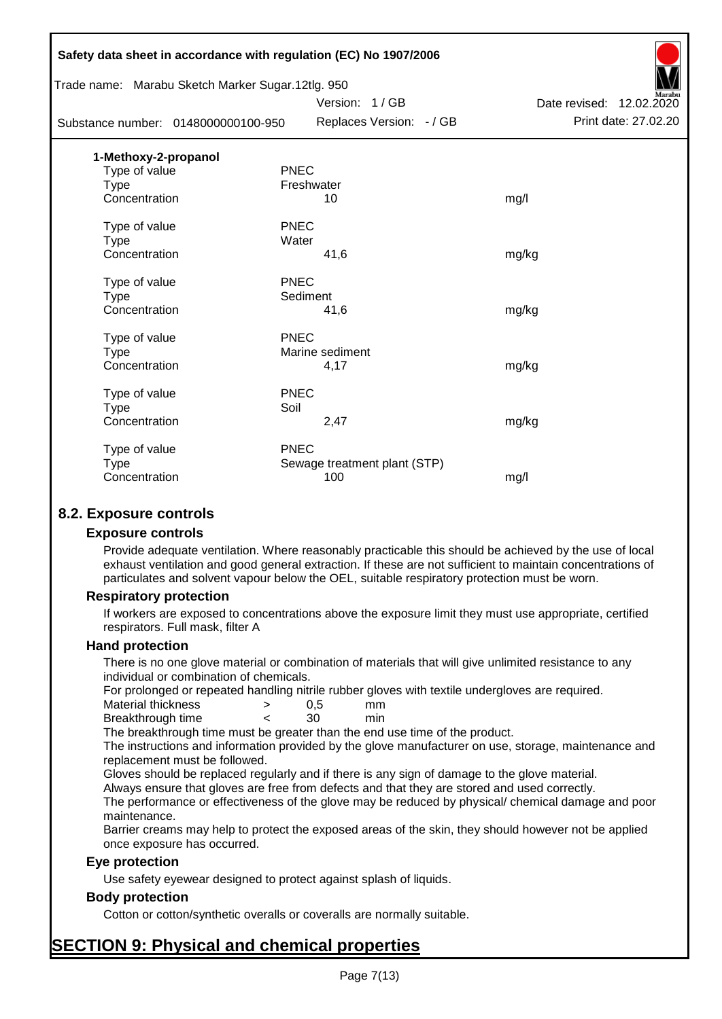| Safety data sheet in accordance with regulation (EC) No 1907/2006 |             |                              |                          |
|-------------------------------------------------------------------|-------------|------------------------------|--------------------------|
| Trade name: Marabu Sketch Marker Sugar.12tlg. 950                 |             |                              |                          |
|                                                                   |             | Version: 1/GB                | Date revised: 12.02.2020 |
| Substance number: 0148000000100-950                               |             | Replaces Version: - / GB     | Print date: 27.02.20     |
| 1-Methoxy-2-propanol                                              |             |                              |                          |
| Type of value                                                     | <b>PNEC</b> |                              |                          |
| <b>Type</b>                                                       | Freshwater  |                              |                          |
| Concentration                                                     |             | 10                           | mg/l                     |
| Type of value                                                     | <b>PNEC</b> |                              |                          |
| <b>Type</b>                                                       | Water       |                              |                          |
| Concentration                                                     |             | 41,6                         | mg/kg                    |
| Type of value                                                     | <b>PNEC</b> |                              |                          |
| Type                                                              | Sediment    |                              |                          |
| Concentration                                                     |             | 41,6                         | mg/kg                    |
| Type of value                                                     | <b>PNEC</b> |                              |                          |
| <b>Type</b>                                                       |             | Marine sediment              |                          |
| Concentration                                                     |             | 4,17                         | mg/kg                    |
| Type of value                                                     | <b>PNEC</b> |                              |                          |
| Type                                                              | Soil        |                              |                          |
| Concentration                                                     |             | 2,47                         | mg/kg                    |
| Type of value                                                     | <b>PNEC</b> |                              |                          |
| <b>Type</b>                                                       |             | Sewage treatment plant (STP) |                          |
| Concentration                                                     |             | 100                          | mg/l                     |
|                                                                   |             |                              |                          |

## **8.2. Exposure controls**

#### **Exposure controls**

Provide adequate ventilation. Where reasonably practicable this should be achieved by the use of local exhaust ventilation and good general extraction. If these are not sufficient to maintain concentrations of particulates and solvent vapour below the OEL, suitable respiratory protection must be worn.

#### **Respiratory protection**

If workers are exposed to concentrations above the exposure limit they must use appropriate, certified respirators. Full mask, filter A

#### **Hand protection**

There is no one glove material or combination of materials that will give unlimited resistance to any individual or combination of chemicals.

For prolonged or repeated handling nitrile rubber gloves with textile undergloves are required.

| Material thickness | 0.5 | mm  |
|--------------------|-----|-----|
| Breakthrough time  | 30  | min |

The breakthrough time must be greater than the end use time of the product.

The instructions and information provided by the glove manufacturer on use, storage, maintenance and replacement must be followed.

Gloves should be replaced regularly and if there is any sign of damage to the glove material.

Always ensure that gloves are free from defects and that they are stored and used correctly.

The performance or effectiveness of the glove may be reduced by physical/ chemical damage and poor maintenance.

Barrier creams may help to protect the exposed areas of the skin, they should however not be applied once exposure has occurred.

#### **Eye protection**

Use safety eyewear designed to protect against splash of liquids.

### **Body protection**

Cotton or cotton/synthetic overalls or coveralls are normally suitable.

# **SECTION 9: Physical and chemical properties**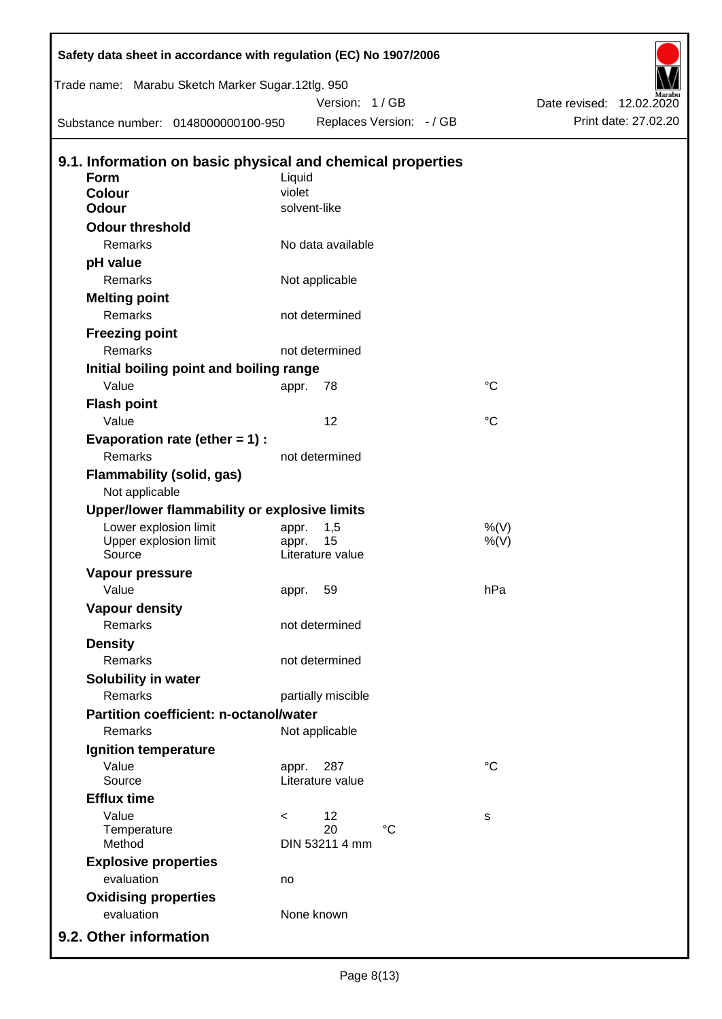| Trade name: Marabu Sketch Marker Sugar.12tlg. 950          |              |                        |                          |                 |                          |                      |
|------------------------------------------------------------|--------------|------------------------|--------------------------|-----------------|--------------------------|----------------------|
|                                                            |              | Version: 1 / GB        |                          |                 | Date revised: 12.02.2020 |                      |
| Substance number: 0148000000100-950                        |              |                        | Replaces Version: - / GB |                 |                          | Print date: 27.02.20 |
| 9.1. Information on basic physical and chemical properties |              |                        |                          |                 |                          |                      |
| <b>Form</b>                                                | Liquid       |                        |                          |                 |                          |                      |
| Colour                                                     | violet       |                        |                          |                 |                          |                      |
| <b>Odour</b>                                               | solvent-like |                        |                          |                 |                          |                      |
| <b>Odour threshold</b>                                     |              |                        |                          |                 |                          |                      |
| Remarks                                                    |              | No data available      |                          |                 |                          |                      |
| pH value                                                   |              |                        |                          |                 |                          |                      |
| Remarks                                                    |              | Not applicable         |                          |                 |                          |                      |
| <b>Melting point</b>                                       |              |                        |                          |                 |                          |                      |
| Remarks                                                    |              | not determined         |                          |                 |                          |                      |
| <b>Freezing point</b>                                      |              |                        |                          |                 |                          |                      |
| Remarks                                                    |              | not determined         |                          |                 |                          |                      |
| Initial boiling point and boiling range                    |              |                        |                          |                 |                          |                      |
| Value                                                      | appr.        | 78                     |                          | $^{\circ}C$     |                          |                      |
| <b>Flash point</b>                                         |              |                        |                          |                 |                          |                      |
| Value                                                      |              | 12                     |                          | $\rm ^{\circ}C$ |                          |                      |
| Evaporation rate (ether $= 1$ ) :                          |              |                        |                          |                 |                          |                      |
| Remarks                                                    |              | not determined         |                          |                 |                          |                      |
| <b>Flammability (solid, gas)</b>                           |              |                        |                          |                 |                          |                      |
| Not applicable                                             |              |                        |                          |                 |                          |                      |
| Upper/lower flammability or explosive limits               |              |                        |                          |                 |                          |                      |
| Lower explosion limit                                      | appr.        | 1,5                    |                          | $%$ (V)         |                          |                      |
| Upper explosion limit                                      | appr.        | 15<br>Literature value |                          | $%$ (V)         |                          |                      |
| Source                                                     |              |                        |                          |                 |                          |                      |
| Vapour pressure<br>Value                                   |              |                        |                          | hPa             |                          |                      |
|                                                            | appr.        | 59                     |                          |                 |                          |                      |
| <b>Vapour density</b><br><b>Remarks</b>                    |              | not determined         |                          |                 |                          |                      |
|                                                            |              |                        |                          |                 |                          |                      |
| <b>Density</b><br>Remarks                                  |              | not determined         |                          |                 |                          |                      |
|                                                            |              |                        |                          |                 |                          |                      |
| Solubility in water<br>Remarks                             |              |                        |                          |                 |                          |                      |
| Partition coefficient: n-octanol/water                     |              | partially miscible     |                          |                 |                          |                      |
| Remarks                                                    |              |                        |                          |                 |                          |                      |
|                                                            |              | Not applicable         |                          |                 |                          |                      |
| Ignition temperature<br>Value                              |              | 287                    |                          | $^{\circ}C$     |                          |                      |
| Source                                                     | appr.        | Literature value       |                          |                 |                          |                      |
| <b>Efflux time</b>                                         |              |                        |                          |                 |                          |                      |
| Value                                                      | $\,<\,$      | 12                     |                          | s               |                          |                      |
| Temperature                                                |              | 20                     | $\rm ^{\circ}C$          |                 |                          |                      |
| Method                                                     |              | DIN 53211 4 mm         |                          |                 |                          |                      |
| <b>Explosive properties</b>                                |              |                        |                          |                 |                          |                      |
| evaluation                                                 | no           |                        |                          |                 |                          |                      |
| <b>Oxidising properties</b>                                |              |                        |                          |                 |                          |                      |
| evaluation                                                 | None known   |                        |                          |                 |                          |                      |
| 9.2. Other information                                     |              |                        |                          |                 |                          |                      |

 $\mathsf I$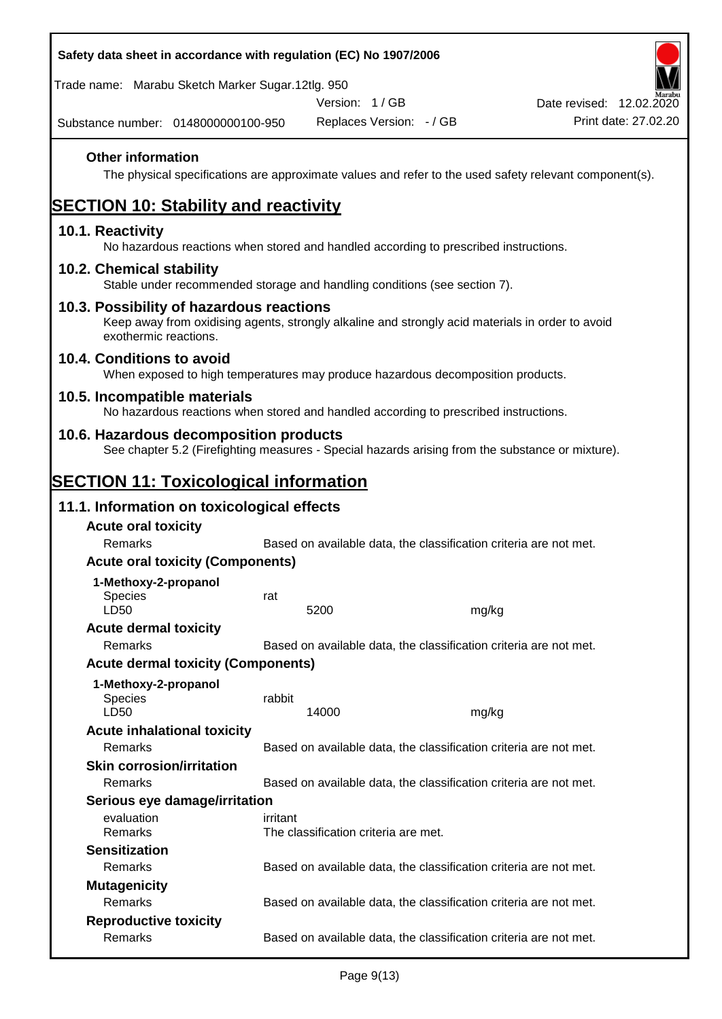| Safety data sheet in accordance with regulation (EC) No 1907/2006                                                                                                     |          |                                      |       |                                                                                                        |
|-----------------------------------------------------------------------------------------------------------------------------------------------------------------------|----------|--------------------------------------|-------|--------------------------------------------------------------------------------------------------------|
| Trade name: Marabu Sketch Marker Sugar.12tlg. 950                                                                                                                     |          |                                      |       |                                                                                                        |
|                                                                                                                                                                       |          | Version: 1/GB                        |       | Date revised: 12.02.2020                                                                               |
| Substance number: 0148000000100-950                                                                                                                                   |          | Replaces Version: - / GB             |       | Print date: 27.02.20                                                                                   |
| <b>Other information</b>                                                                                                                                              |          |                                      |       | The physical specifications are approximate values and refer to the used safety relevant component(s). |
| <b>SECTION 10: Stability and reactivity</b>                                                                                                                           |          |                                      |       |                                                                                                        |
| 10.1. Reactivity<br>No hazardous reactions when stored and handled according to prescribed instructions.                                                              |          |                                      |       |                                                                                                        |
| 10.2. Chemical stability<br>Stable under recommended storage and handling conditions (see section 7).                                                                 |          |                                      |       |                                                                                                        |
| 10.3. Possibility of hazardous reactions<br>Keep away from oxidising agents, strongly alkaline and strongly acid materials in order to avoid<br>exothermic reactions. |          |                                      |       |                                                                                                        |
| 10.4. Conditions to avoid<br>When exposed to high temperatures may produce hazardous decomposition products.                                                          |          |                                      |       |                                                                                                        |
| 10.5. Incompatible materials<br>No hazardous reactions when stored and handled according to prescribed instructions.                                                  |          |                                      |       |                                                                                                        |
| 10.6. Hazardous decomposition products<br>See chapter 5.2 (Firefighting measures - Special hazards arising from the substance or mixture).                            |          |                                      |       |                                                                                                        |
| <b>SECTION 11: Toxicological information</b>                                                                                                                          |          |                                      |       |                                                                                                        |
| 11.1. Information on toxicological effects                                                                                                                            |          |                                      |       |                                                                                                        |
| <b>Acute oral toxicity</b>                                                                                                                                            |          |                                      |       |                                                                                                        |
| Remarks                                                                                                                                                               |          |                                      |       | Based on available data, the classification criteria are not met.                                      |
| <b>Acute oral toxicity (Components)</b>                                                                                                                               |          |                                      |       |                                                                                                        |
| 1-Methoxy-2-propanol                                                                                                                                                  |          |                                      |       |                                                                                                        |
| <b>Species</b><br>LD50                                                                                                                                                | rat      | 5200                                 |       |                                                                                                        |
| <b>Acute dermal toxicity</b>                                                                                                                                          |          |                                      | mg/kg |                                                                                                        |
| Remarks                                                                                                                                                               |          |                                      |       | Based on available data, the classification criteria are not met.                                      |
| <b>Acute dermal toxicity (Components)</b>                                                                                                                             |          |                                      |       |                                                                                                        |
| 1-Methoxy-2-propanol<br>Species<br>LD50                                                                                                                               | rabbit   | 14000                                | mg/kg |                                                                                                        |
| <b>Acute inhalational toxicity</b>                                                                                                                                    |          |                                      |       |                                                                                                        |
| Remarks                                                                                                                                                               |          |                                      |       | Based on available data, the classification criteria are not met.                                      |
| <b>Skin corrosion/irritation</b>                                                                                                                                      |          |                                      |       |                                                                                                        |
| Remarks                                                                                                                                                               |          |                                      |       | Based on available data, the classification criteria are not met.                                      |
| Serious eye damage/irritation                                                                                                                                         |          |                                      |       |                                                                                                        |
| evaluation<br>Remarks                                                                                                                                                 | irritant | The classification criteria are met. |       |                                                                                                        |
| <b>Sensitization</b>                                                                                                                                                  |          |                                      |       |                                                                                                        |
| Remarks                                                                                                                                                               |          |                                      |       | Based on available data, the classification criteria are not met.                                      |
| <b>Mutagenicity</b>                                                                                                                                                   |          |                                      |       |                                                                                                        |
| Remarks                                                                                                                                                               |          |                                      |       | Based on available data, the classification criteria are not met.                                      |
| <b>Reproductive toxicity</b><br>Remarks                                                                                                                               |          |                                      |       | Based on available data, the classification criteria are not met.                                      |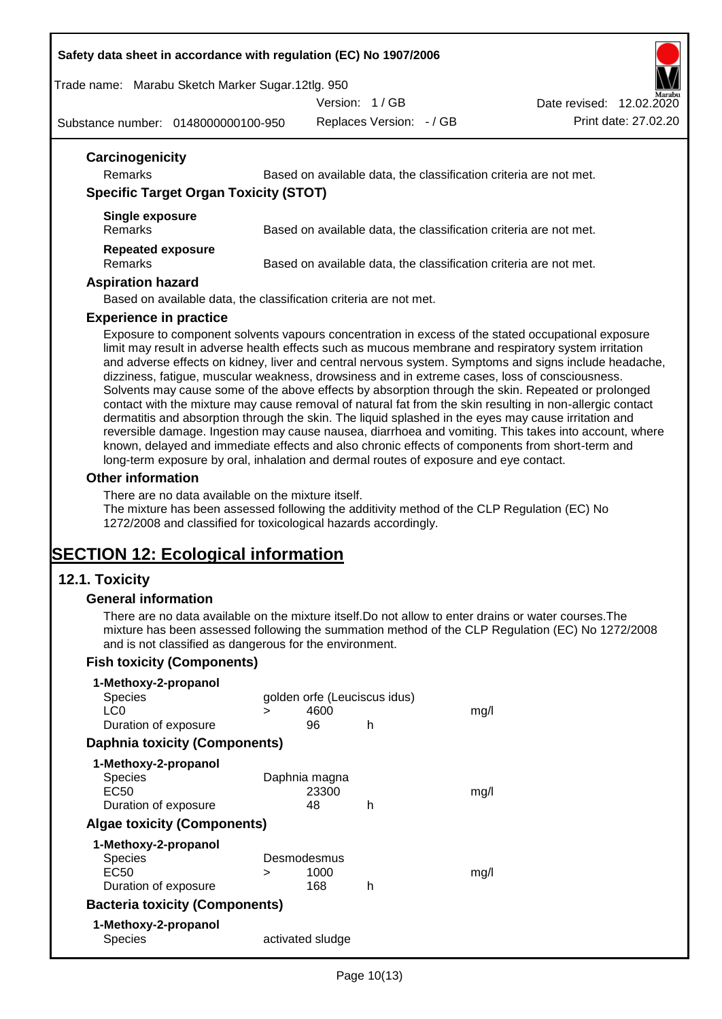#### **Safety data sheet in accordance with regulation (EC) No 1907/2006**

Trade name: Marabu Sketch Marker Sugar.12tlg. 950

Version: 1 / GB

Substance number: 0148000000100-950

Replaces Version: - / GB Print date: 27.02.20 Date revised: 12.02.2020

| Carcinogenicity<br><b>Remarks</b>            | Based on available data, the classification criteria are not met. |
|----------------------------------------------|-------------------------------------------------------------------|
| <b>Specific Target Organ Toxicity (STOT)</b> |                                                                   |
| Single exposure<br><b>Remarks</b>            | Based on available data, the classification criteria are not met. |
| <b>Repeated exposure</b><br><b>Remarks</b>   | Based on available data, the classification criteria are not met. |

#### **Aspiration hazard**

Based on available data, the classification criteria are not met.

#### **Experience in practice**

Exposure to component solvents vapours concentration in excess of the stated occupational exposure limit may result in adverse health effects such as mucous membrane and respiratory system irritation and adverse effects on kidney, liver and central nervous system. Symptoms and signs include headache, dizziness, fatigue, muscular weakness, drowsiness and in extreme cases, loss of consciousness. Solvents may cause some of the above effects by absorption through the skin. Repeated or prolonged contact with the mixture may cause removal of natural fat from the skin resulting in non-allergic contact dermatitis and absorption through the skin. The liquid splashed in the eyes may cause irritation and reversible damage. Ingestion may cause nausea, diarrhoea and vomiting. This takes into account, where known, delayed and immediate effects and also chronic effects of components from short-term and long-term exposure by oral, inhalation and dermal routes of exposure and eye contact.

#### **Other information**

There are no data available on the mixture itself.

The mixture has been assessed following the additivity method of the CLP Regulation (EC) No 1272/2008 and classified for toxicological hazards accordingly.

# **SECTION 12: Ecological information**

### **12.1. Toxicity**

#### **General information**

There are no data available on the mixture itself.Do not allow to enter drains or water courses.The mixture has been assessed following the summation method of the CLP Regulation (EC) No 1272/2008 and is not classified as dangerous for the environment.

### **Fish toxicity (Components)**

| 1-Methoxy-2-propanol                  |   |                              |   |      |
|---------------------------------------|---|------------------------------|---|------|
| Species                               |   | golden orfe (Leuciscus idus) |   |      |
| LC <sub>0</sub>                       | ⋗ | 4600                         |   | mq/l |
| Duration of exposure                  |   | 96                           | h |      |
| <b>Daphnia toxicity (Components)</b>  |   |                              |   |      |
| 1-Methoxy-2-propanol                  |   |                              |   |      |
| <b>Species</b>                        |   | Daphnia magna                |   |      |
| EC50                                  |   | 23300                        |   | mq/l |
| Duration of exposure                  |   | 48                           | h |      |
| <b>Algae toxicity (Components)</b>    |   |                              |   |      |
| 1-Methoxy-2-propanol                  |   |                              |   |      |
| Species                               |   | Desmodesmus                  |   |      |
| EC50                                  | > | 1000                         |   | mq/l |
| Duration of exposure                  |   | 168                          | h |      |
| <b>Bacteria toxicity (Components)</b> |   |                              |   |      |
| 1-Methoxy-2-propanol                  |   |                              |   |      |
| Species                               |   | activated sludge             |   |      |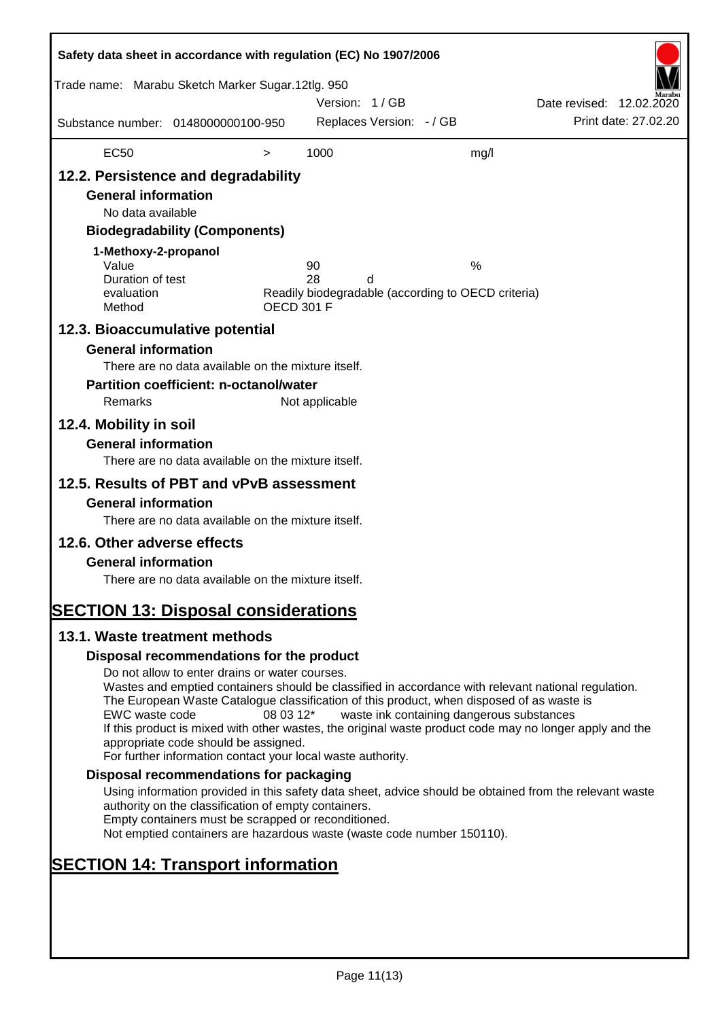| Safety data sheet in accordance with regulation (EC) No 1907/2006                                                                                                                                      |                                                                                                                                                                                                                                                                                                                                                                                                                                                                      |                   |                |                          |                                                         |                          |                      |
|--------------------------------------------------------------------------------------------------------------------------------------------------------------------------------------------------------|----------------------------------------------------------------------------------------------------------------------------------------------------------------------------------------------------------------------------------------------------------------------------------------------------------------------------------------------------------------------------------------------------------------------------------------------------------------------|-------------------|----------------|--------------------------|---------------------------------------------------------|--------------------------|----------------------|
| Trade name: Marabu Sketch Marker Sugar.12tlg. 950                                                                                                                                                      |                                                                                                                                                                                                                                                                                                                                                                                                                                                                      |                   | Version: 1/GB  |                          |                                                         | Date revised: 12.02.2020 |                      |
| Substance number: 0148000000100-950                                                                                                                                                                    |                                                                                                                                                                                                                                                                                                                                                                                                                                                                      |                   |                | Replaces Version: - / GB |                                                         |                          | Print date: 27.02.20 |
| <b>EC50</b>                                                                                                                                                                                            |                                                                                                                                                                                                                                                                                                                                                                                                                                                                      | $\, > \,$         | 1000           |                          | mg/l                                                    |                          |                      |
| 12.2. Persistence and degradability<br><b>General information</b><br>No data available<br>1-Methoxy-2-propanol<br>Value<br>Duration of test<br>evaluation<br>Method<br>12.3. Bioaccumulative potential | <b>Biodegradability (Components)</b>                                                                                                                                                                                                                                                                                                                                                                                                                                 | <b>OECD 301 F</b> | 90<br>28       | d                        | %<br>Readily biodegradable (according to OECD criteria) |                          |                      |
| <b>General information</b><br>Remarks<br>12.4. Mobility in soil<br><b>General information</b>                                                                                                          | There are no data available on the mixture itself.<br><b>Partition coefficient: n-octanol/water</b>                                                                                                                                                                                                                                                                                                                                                                  |                   | Not applicable |                          |                                                         |                          |                      |
|                                                                                                                                                                                                        | There are no data available on the mixture itself.                                                                                                                                                                                                                                                                                                                                                                                                                   |                   |                |                          |                                                         |                          |                      |
| 12.5. Results of PBT and vPvB assessment<br><b>General information</b>                                                                                                                                 | There are no data available on the mixture itself.                                                                                                                                                                                                                                                                                                                                                                                                                   |                   |                |                          |                                                         |                          |                      |
| 12.6. Other adverse effects<br><b>General information</b><br><b>SECTION 13: Disposal considerations</b>                                                                                                | There are no data available on the mixture itself.                                                                                                                                                                                                                                                                                                                                                                                                                   |                   |                |                          |                                                         |                          |                      |
| 13.1. Waste treatment methods                                                                                                                                                                          |                                                                                                                                                                                                                                                                                                                                                                                                                                                                      |                   |                |                          |                                                         |                          |                      |
|                                                                                                                                                                                                        | Disposal recommendations for the product                                                                                                                                                                                                                                                                                                                                                                                                                             |                   |                |                          |                                                         |                          |                      |
| EWC waste code                                                                                                                                                                                         | Do not allow to enter drains or water courses.<br>Wastes and emptied containers should be classified in accordance with relevant national regulation.<br>The European Waste Catalogue classification of this product, when disposed of as waste is<br>If this product is mixed with other wastes, the original waste product code may no longer apply and the<br>appropriate code should be assigned.<br>For further information contact your local waste authority. | 08 03 12*         |                |                          | waste ink containing dangerous substances               |                          |                      |
|                                                                                                                                                                                                        | Disposal recommendations for packaging                                                                                                                                                                                                                                                                                                                                                                                                                               |                   |                |                          |                                                         |                          |                      |
|                                                                                                                                                                                                        | Using information provided in this safety data sheet, advice should be obtained from the relevant waste<br>authority on the classification of empty containers.<br>Empty containers must be scrapped or reconditioned.<br>Not emptied containers are hazardous waste (waste code number 150110).                                                                                                                                                                     |                   |                |                          |                                                         |                          |                      |
| <b>SECTION 14: Transport information</b>                                                                                                                                                               |                                                                                                                                                                                                                                                                                                                                                                                                                                                                      |                   |                |                          |                                                         |                          |                      |
|                                                                                                                                                                                                        |                                                                                                                                                                                                                                                                                                                                                                                                                                                                      |                   |                |                          |                                                         |                          |                      |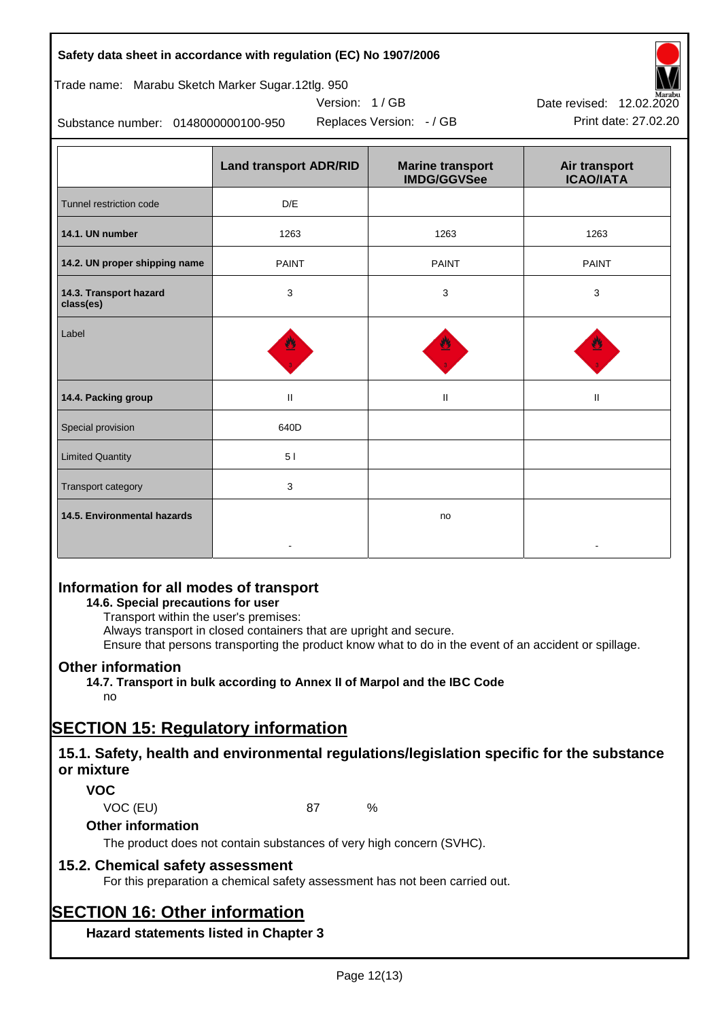#### **Safety data sheet in accordance with regulation (EC) No 1907/2006**

## Trade name: Marabu Sketch Marker Sugar.12tlg. 950

Substance number: 0148000000100-950

|                                     | <b>Land transport ADR/RID</b> | <b>Marine transport</b><br><b>IMDG/GGVSee</b> | Air transport<br><b>ICAO/IATA</b> |
|-------------------------------------|-------------------------------|-----------------------------------------------|-----------------------------------|
| Tunnel restriction code             | D/E                           |                                               |                                   |
| 14.1. UN number                     | 1263                          | 1263                                          | 1263                              |
| 14.2. UN proper shipping name       | <b>PAINT</b>                  | <b>PAINT</b>                                  | <b>PAINT</b>                      |
| 14.3. Transport hazard<br>class(es) | 3                             | 3                                             | 3                                 |
| Label                               |                               |                                               |                                   |
| 14.4. Packing group                 | $\ensuremath{\mathsf{II}}$    | $\mathbf{H}$                                  | $\mathbf{I}$                      |
| Special provision                   | 640D                          |                                               |                                   |
| <b>Limited Quantity</b>             | 5 <sub>1</sub>                |                                               |                                   |
| Transport category                  | $\mathbf{3}$                  |                                               |                                   |
| 14.5. Environmental hazards         |                               | no                                            |                                   |

Version: 1 / GB

## **Information for all modes of transport**

### **14.6. Special precautions for user**

Transport within the user's premises:

Always transport in closed containers that are upright and secure.

Ensure that persons transporting the product know what to do in the event of an accident or spillage.

## **Other information**

**14.7. Transport in bulk according to Annex II of Marpol and the IBC Code**

## no

# **SECTION 15: Regulatory information**

## **15.1. Safety, health and environmental regulations/legislation specific for the substance or mixture**

## **VOC**

VOC (EU) 87 %

### **Other information**

The product does not contain substances of very high concern (SVHC).

## **15.2. Chemical safety assessment**

For this preparation a chemical safety assessment has not been carried out.

# **SECTION 16: Other information**

**Hazard statements listed in Chapter 3**



Replaces Version: - / GB Print date: 27.02.20 Date revised: 12.02.2020